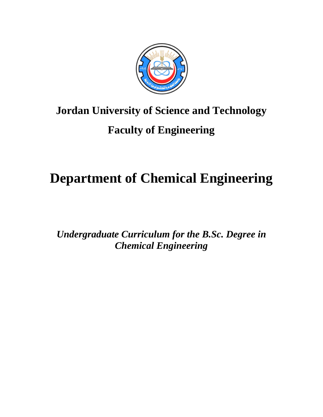

# **Jordan University of Science and Technology**

# **Faculty of Engineering**

# **Department of Chemical Engineering**

*Undergraduate Curriculum for the B.Sc. Degree in Chemical Engineering*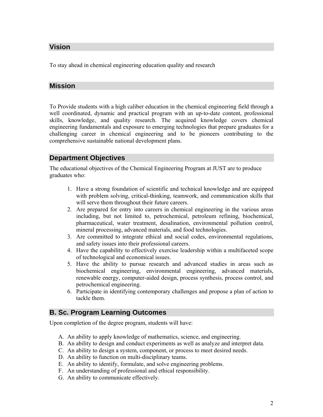#### **Vision**

To stay ahead in chemical engineering education quality and research

#### **Mission**

To Provide students with a high caliber education in the chemical engineering field through a well coordinated, dynamic and practical program with an up-to-date content, professional skills, knowledge, and quality research. The acquired knowledge covers chemical engineering fundamentals and exposure to emerging technologies that prepare graduates for a challenging career in chemical engineering and to be pioneers contributing to the comprehensive sustainable national development plans.

#### **Department Objectives**

The educational objectives of the Chemical Engineering Program at JUST are to produce graduates who:

- 1. Have a strong foundation of scientific and technical knowledge and are equipped with problem solving, critical-thinking, teamwork, and communication skills that will serve them throughout their future careers.
- 2. Are prepared for entry into careers in chemical engineering in the various areas including, but not limited to, petrochemical, petroleum refining, biochemical, pharmaceutical, water treatment, desalination, environmental pollution control, mineral processing, advanced materials, and food technologies.
- 3. Are committed to integrate ethical and social codes, environmental regulations, and safety issues into their professional careers.
- 4. Have the capability to effectively exercise leadership within a multifaceted scope of technological and economical issues.
- 5. Have the ability to pursue research and advanced studies in areas such as biochemical engineering, environmental engineering, advanced materials, renewable energy, computer-aided design, process synthesis, process control, and petrochemical engineering.
- 6. Participate in identifying contemporary challenges and propose a plan of action to tackle them.

#### **B. Sc. Program Learning Outcomes**

Upon completion of the degree program, students will have:

- A. An ability to apply knowledge of mathematics, science, and engineering.
- B. An ability to design and conduct experiments as well as analyze and interpret data.
- C. An ability to design a system, component, or process to meet desired needs.
- D. An ability to function on multi-disciplinary teams.
- E. An ability to identify, formulate, and solve engineering problems.
- F. An understanding of professional and ethical responsibility.
- G. An ability to communicate effectively.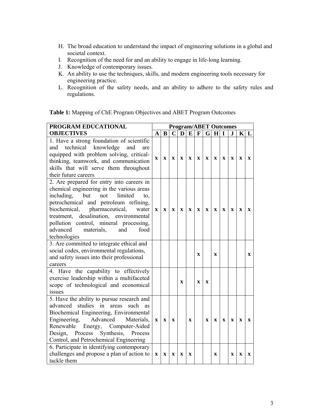- H. The broad education to understand the impact of engineering solutions in a global and societal context.
- I. Recognition of the need for and an ability to engage in life-long learning.
- J. Knowledge of contemporary issues.

tackle them

- K. An ability to use the techniques, skills, and modern engineering tools necessary for engineering practice.
- L. Recognition of the safety needs, and an ability to adhere to the safety rules and regulations.

| PROGRAM EDUCATIONAL                                                                                                                                                                                                                                                                                                                                                 | <b>Program/ABET Outcomes</b> |             |                           |              |                           |              |              |             |             |             |             |              |
|---------------------------------------------------------------------------------------------------------------------------------------------------------------------------------------------------------------------------------------------------------------------------------------------------------------------------------------------------------------------|------------------------------|-------------|---------------------------|--------------|---------------------------|--------------|--------------|-------------|-------------|-------------|-------------|--------------|
| <b>OBJECTIVES</b>                                                                                                                                                                                                                                                                                                                                                   | $\mathbf{A}$                 | $\bf{B}$    | $\mathbf{C}$              | $\mathbf{D}$ | E                         | $\mathbf{F}$ |              | $G$ H       | I           | $\bf J$     |             | $K\vert L$   |
| 1. Have a strong foundation of scientific<br>technical knowledge<br>and<br>and<br>are<br>equipped with problem solving, critical-<br>thinking, teamwork, and communication<br>skills that will serve them throughout<br>their future careers                                                                                                                        | X                            | $\mathbf X$ | $\mathbf x$               | $\mathbf x$  | $\mathbf X$               | $\mathbf x$  | $\mathbf X$  | $\mathbf X$ | $\mathbf X$ | X           | $\mathbf X$ | $\mathbf{X}$ |
| 2. Are prepared for entry into careers in<br>chemical engineering in the various areas<br>not<br>including,<br>but<br>limited<br>to,<br>petrochemical and petroleum refining,<br>biochemical, pharmaceutical,<br>water<br>treatment, desalination, environmental<br>pollution control, mineral processing,<br>advanced<br>materials,<br>and<br>food<br>technologies | $\mathbf x$                  | $\mathbf X$ | $\mathbf X$               | $\mathbf{x}$ | $\mathbf{X}$              | $\mathbf{X}$ | $\mathbf{x}$ | $\mathbf X$ | $\mathbf x$ | $\mathbf x$ | $\mathbf x$ | $\mathbf{X}$ |
| 3. Are committed to integrate ethical and<br>social codes, environmental regulations,<br>and safety issues into their professional<br>careers                                                                                                                                                                                                                       |                              |             |                           |              |                           | $\mathbf x$  |              | $\mathbf x$ |             |             |             | $\mathbf{X}$ |
| 4. Have the capability to effectively<br>exercise leadership within a multifaceted<br>scope of technological and economical<br>issues                                                                                                                                                                                                                               |                              |             |                           | $\mathbf x$  |                           | $\mathbf x$  | $\mathbf x$  |             |             |             |             |              |
| 5. Have the ability to pursue research and<br>studies<br>advanced<br>in<br>such<br>areas<br>as<br>Biochemical Engineering, Environmental<br>Advanced<br>Engineering,<br>Materials,<br>Renewable<br>Energy, Computer-Aided<br>Process Synthesis, Process<br>Design,<br>Control, and Petrochemical Engineering                                                        | $\mathbf{X}$                 | $\mathbf x$ | $\mathbf x$               |              | $\mathbf{x}$              |              | $\mathbf x$  | $\mathbf x$ | $\mathbf x$ | $\mathbf x$ | $\mathbf x$ | $\mathbf{x}$ |
| 6. Participate in identifying contemporary<br>challenges and propose a plan of action to                                                                                                                                                                                                                                                                            | $\mathbf X$                  | $\mathbf X$ | $\boldsymbol{\mathrm{X}}$ | X            | $\boldsymbol{\mathrm{X}}$ |              |              | $\mathbf x$ |             | X           | X           | X            |

**Table 1:** Mapping of ChE Program Objectives and ABET Program Outcomes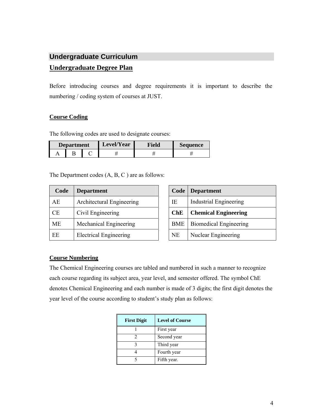# **Undergraduate Curriculum Undergraduate Degree Plan**

Before introducing courses and degree requirements it is important to describe the numbering / coding system of courses at JUST.

#### **Course Coding**

The following codes are used to designate courses:

| Level/Year<br><b>Department</b> |  | Field | Sequence |  |  |
|---------------------------------|--|-------|----------|--|--|
|                                 |  |       |          |  |  |

The Department codes (A, B, C ) are as follows:

| Code      | <b>Department</b>             | Code       | <b>Department</b>             |
|-----------|-------------------------------|------------|-------------------------------|
| AE        | Architectural Engineering     | IE         | <b>Industrial Engineering</b> |
| <b>CE</b> | Civil Engineering             | <b>ChE</b> | <b>Chemical Engineering</b>   |
| <b>ME</b> | Mechanical Engineering        | <b>BME</b> | <b>Biomedical Engineering</b> |
| EE        | <b>Electrical Engineering</b> | <b>NE</b>  | Nuclear Engineering           |

| Code       | <b>Department</b>             |
|------------|-------------------------------|
| IE.        | <b>Industrial Engineering</b> |
| ChE        | <b>Chemical Engineering</b>   |
| <b>BME</b> | <b>Biomedical Engineering</b> |
| NE         | Nuclear Engineering           |

#### **Course Numbering**

The Chemical Engineering courses are tabled and numbered in such a manner to recognize each course regarding its subject area, year level, and semester offered. The symbol ChE denotes Chemical Engineering and each number is made of 3 digits; the first digit denotes the year level of the course according to student's study plan as follows:

| <b>First Digit</b> | <b>Level of Course</b> |
|--------------------|------------------------|
|                    | First year             |
|                    | Second year            |
|                    | Third year             |
|                    | Fourth year            |
|                    | Fifth year.            |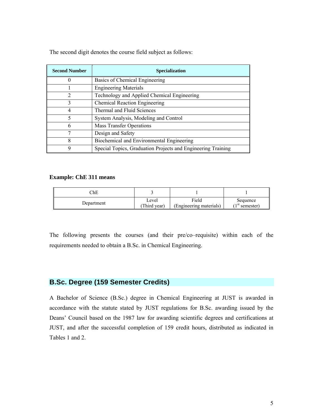| <b>Second Number</b> | Specialization                                               |
|----------------------|--------------------------------------------------------------|
| O                    | Basics of Chemical Engineering                               |
|                      | <b>Engineering Materials</b>                                 |
| $\overline{2}$       | Technology and Applied Chemical Engineering                  |
| 3                    | <b>Chemical Reaction Engineering</b>                         |
| 4                    | Thermal and Fluid Sciences                                   |
| 5                    | System Analysis, Modeling and Control                        |
| 6                    | <b>Mass Transfer Operations</b>                              |
| 7                    | Design and Safety                                            |
| 8                    | Biochemical and Environmental Engineering                    |
| 9                    | Special Topics, Graduation Projects and Engineering Training |

The second digit denotes the course field subject as follows:

#### **Example: ChE 311 means**

| ™          |                      |                                  |                               |  |  |
|------------|----------------------|----------------------------------|-------------------------------|--|--|
| Department | Level<br>Third year) | Field<br>(Engineering materials) | Sequence<br>∸ıst<br>semester) |  |  |

The following presents the courses (and their pre/co–requisite) within each of the requirements needed to obtain a B.Sc. in Chemical Engineering.

#### **B.Sc. Degree (159 Semester Credits)**

A Bachelor of Science (B.Sc.) degree in Chemical Engineering at JUST is awarded in accordance with the statute stated by JUST regulations for B.Sc. awarding issued by the Deans' Council based on the 1987 law for awarding scientific degrees and certifications at JUST, and after the successful completion of 159 credit hours, distributed as indicated in Tables 1 and 2.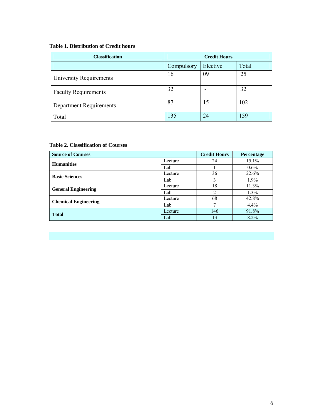#### **Table 1. Distribution of Credit hours**

| <b>Classification</b>       | <b>Credit Hours</b> |       |     |
|-----------------------------|---------------------|-------|-----|
|                             | Compulsory          | Total |     |
| University Requirements     | 16                  | 09    | 25  |
| <b>Faculty Requirements</b> | 32                  |       | 32  |
| Department Requirements     | 87                  | 15    | 102 |
| Total                       | 135                 | 24    | 159 |

#### **Table 2. Classification of Courses**

| <b>Source of Courses</b>    |         | <b>Credit Hours</b> | <b>Percentage</b> |
|-----------------------------|---------|---------------------|-------------------|
| <b>Humanities</b>           | Lecture | 24                  | 15.1%             |
|                             | Lab     |                     | $0.6\%$           |
| <b>Basic Sciences</b>       | Lecture | 36                  | 22.6%             |
|                             | Lab     | 3                   | $1.9\%$           |
| <b>General Engineering</b>  | Lecture | 18                  | 11.3%             |
|                             | Lab     | າ                   | $1.3\%$           |
| <b>Chemical Engineering</b> | Lecture | 68                  | 42.8%             |
|                             | Lab     | −                   | $4.4\%$           |
| <b>Total</b>                | Lecture | 146                 | 91.8%             |
|                             | Lab     | 13 <sup>°</sup>     | $8.2\%$           |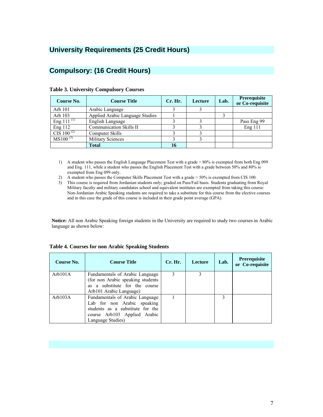### **University Requirements (25 Credit Hours)**

#### **Compulsory: (16 Credit Hours)**

| Course No.                  | <b>Course Title</b>             | Cr. Hr. | Lecture | Lab. | <b>Prerequisite</b><br>or Co-requisite |
|-----------------------------|---------------------------------|---------|---------|------|----------------------------------------|
| Arb 101                     | Arabic Language                 |         |         |      |                                        |
| Arb 103                     | Applied Arabic Language Studies |         |         |      |                                        |
| Eng 111 $\overline{^{(1)}}$ | English Language                |         |         |      | Pass Eng 99                            |
| Eng 112                     | Communication Skills II         |         |         |      | Eng 111                                |
| CIS 100 $^{(2)}$            | Computer Skills                 |         |         |      |                                        |
| $MS100^{(3)}$               | <b>Military Sciences</b>        |         |         |      |                                        |
|                             | <b>Total</b>                    | 16      |         |      |                                        |

#### **Table 3. University Compulsory Courses**

- 1) A student who passes the English Language Placement Test with a grade > 80% is exempted from both Eng 099 and Eng. 111, while a student who passes the English Placement Test with a grade between 50% and 80% is exempted from Eng 099 only.
- 2) A student who passes the Computer Skills Placement Test with a grade > 50% is exempted from CIS 100.
- 3) This course is required from Jordanian students only; graded on Pass/Fail basis. Students graduating from Royal Military faculty and military candidates school and equivalent institutes are exempted from taking this course: Non-Jordanian Arabic Speaking students are required to take a substitute for this course from the elective courses and in this case the grade of this course is included in their grade point average (GPA).

**Notice:** All non Arabic Speaking foreign students in the University are required to study two courses in Arabic language as shown below:

| Course No. | <b>Course Title</b>                                                                                                                                     | Cr. Hr. | Lecture | Lab. | <b>Prerequisite</b><br>or Co-requisite |
|------------|---------------------------------------------------------------------------------------------------------------------------------------------------------|---------|---------|------|----------------------------------------|
| Arb101A    | Fundamentals of Arabic Language<br>(for non Arabic speaking students<br>as a substitute for the course<br>Arb101 Arabic Language)                       | 3       |         |      |                                        |
| Arb103A    | Fundamentals of Arabic Language<br>Lab for non Arabic speaking<br>students as a substitute for the<br>course Arb103 Applied Arabic<br>Language Studies) |         |         | 3    |                                        |

#### **Table 4. Courses for non Arabic Speaking Students**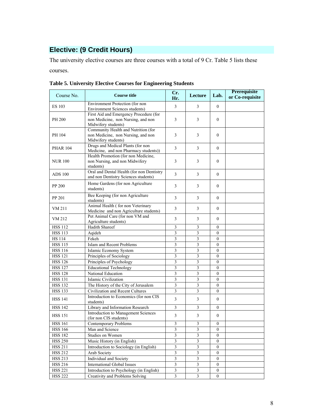## **Elective: (9 Credit Hours)**

The university elective courses are three courses with a total of 9 Cr. Table 5 lists these courses.

| Course No.      | <b>Course title</b>                                                                                 | Cr.<br>Hr.              | Lecture                     | Lab.             | Prerequisite<br>or Co-requisite |
|-----------------|-----------------------------------------------------------------------------------------------------|-------------------------|-----------------------------|------------------|---------------------------------|
| <b>ES 103</b>   | Environment Protection (for non<br><b>Environment Sciences students)</b>                            | 3                       | 3                           | $\mathbf{0}$     |                                 |
| PH 200          | First Aid and Emergency Procedure (for<br>non Medicine, non Nursing, and non<br>Midwifery students) | 3                       | 3                           | $\mathbf{0}$     |                                 |
| PH 104          | Community Health and Nutrition (for<br>non Medicine, non Nursing, and non<br>Midwifery students)    | 3                       | 3                           | $\mathbf{0}$     |                                 |
| <b>PHAR 104</b> | Drugs and Medical Plants (for non<br>Medicine, and non Pharmacy students))                          | 3                       | 3                           | $\mathbf{0}$     |                                 |
| <b>NUR 100</b>  | Health Promotion (for non Medicine,<br>non Nursing, and non Midwifery<br>students)                  | 3                       | 3                           | $\mathbf{0}$     |                                 |
| <b>ADS 100</b>  | Oral and Dental Health (for non Dentistry<br>and non Dentistry Sciences students)                   | $\overline{3}$          | 3                           | $\mathbf{0}$     |                                 |
| PP 200          | Home Gardens (for non Agriculture<br>students)                                                      | 3                       | 3                           | $\mathbf{0}$     |                                 |
| PP 201          | Bee Keeping (for non Agriculture<br>students)                                                       | 3                       | 3                           | $\mathbf{0}$     |                                 |
| VM 211          | Animal Health (for non Veterinary<br>Medicine and non Agriculture students)                         | $\overline{3}$          | 3                           | $\mathbf{0}$     |                                 |
| VM 212          | Pet Animal Care (for non VM and<br>Agriculture students)                                            | 3                       | 3                           | $\mathbf{0}$     |                                 |
| <b>HSS 112</b>  | Hadith Shareef                                                                                      | $\mathfrak{Z}$          | $\overline{3}$              | $\mathbf{0}$     |                                 |
| <b>HSS 113</b>  | Aqideh                                                                                              | $\mathfrak{Z}$          | $\overline{3}$              | $\mathbf{0}$     |                                 |
| <b>HS</b> 114   | Fekeh                                                                                               | 3                       | 3                           | 0                |                                 |
| <b>HSS 115</b>  | Islam and Recent Problems                                                                           | 3                       | $\overline{3}$              | $\mathbf{0}$     |                                 |
| <b>HSS 116</b>  | Islamic Economy System                                                                              | 3                       | $\overline{3}$              | $\mathbf{0}$     |                                 |
| <b>HSS 121</b>  | Principles of Sociology                                                                             | 3                       | 3                           | $\theta$         |                                 |
| <b>HSS 126</b>  | Principles of Psychology                                                                            | $\overline{3}$          | $\overline{3}$              | $\mathbf{0}$     |                                 |
| <b>HSS 127</b>  | <b>Educational Technology</b>                                                                       | $\mathfrak{Z}$          | 3                           | $\mathbf{0}$     |                                 |
| <b>HSS 128</b>  | National Education                                                                                  | 3                       | 3                           | $\mathbf{0}$     |                                 |
| <b>HSS 131</b>  | Islamic Civilization                                                                                | $\overline{\mathbf{3}}$ | $\mathfrak{Z}$              | $\boldsymbol{0}$ |                                 |
| <b>HSS 132</b>  | The History of the City of Jerusalem                                                                | $\mathfrak{Z}$          | 3                           | $\mathbf{0}$     |                                 |
| <b>HSS 133</b>  | Civilization and Recent Cultures                                                                    | $\overline{\mathbf{3}}$ | 3                           | $\mathbf{0}$     |                                 |
| <b>HSS 141</b>  | Introduction to Economics (for non CIS<br>students)                                                 | 3                       | 3                           | $\overline{0}$   |                                 |
| <b>HSS 142</b>  | Library and Information Research                                                                    | 3                       | 3                           | $\mathbf{0}$     |                                 |
| <b>HSS 151</b>  | Introduction to Management Sciences<br>(for non CIS students)                                       | $\mathfrak{Z}$          | 3                           | 0                |                                 |
| <b>HSS 161</b>  | Contemporary Problems                                                                               | $\overline{\mathbf{3}}$ | 3                           | $\mathbf{0}$     |                                 |
| <b>HSS 166</b>  | Man and Science                                                                                     | $\mathfrak{Z}$          | $\ensuremath{\mathfrak{Z}}$ | 0                |                                 |
| <b>HSS 182</b>  | Studies on Women                                                                                    | $\overline{\mathbf{3}}$ | 3                           | $\theta$         |                                 |
| <b>HSS 250</b>  | Music History (in English)                                                                          | $\mathfrak{Z}$          | $\mathfrak{Z}$              | $\boldsymbol{0}$ |                                 |
| <b>HSS 211</b>  | Introduction to Sociology (in English)                                                              | $\overline{\mathbf{3}}$ | $\overline{\mathbf{3}}$     | $\boldsymbol{0}$ |                                 |
| <b>HSS 212</b>  | Arab Society                                                                                        | $\overline{\mathbf{3}}$ | $\mathfrak{Z}$              | 0                |                                 |
| <b>HSS 213</b>  | Individual and Society                                                                              | 3                       | 3                           | 0                |                                 |
| <b>HSS 216</b>  | <b>International Global Issues</b>                                                                  | $\overline{\mathbf{3}}$ | $\mathfrak{Z}$              | 0                |                                 |
| <b>HSS 221</b>  | Introduction to Psychology (in English)                                                             | $\overline{\mathbf{3}}$ | $\mathfrak{Z}$              | $\mathbf{0}$     |                                 |
| <b>HSS 222</b>  | Creativity and Problems Solving                                                                     | $\overline{\mathbf{3}}$ | $\overline{\mathbf{3}}$     | $\boldsymbol{0}$ |                                 |

**Table 5. University Elective Courses for Engineering Students**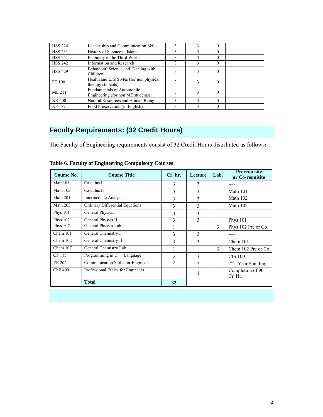| <b>HSS 224</b> | Leader ship and Communication Skills                                   |  |          |  |
|----------------|------------------------------------------------------------------------|--|----------|--|
| <b>HSS 231</b> | History of Science in Islam                                            |  | 0        |  |
| <b>HSS 241</b> | Economy in the Third World                                             |  | 0        |  |
| <b>HSS 242</b> | <b>Information and Research</b>                                        |  | $\Omega$ |  |
| <b>HSS 429</b> | Behavioral Science and Dealing with<br>Children                        |  | 0        |  |
| PT 100         | Health and Life Styles (for non physical<br>therapy students)          |  | 0        |  |
| <b>ME 211</b>  | <b>Fundamentals of Automobile</b><br>Engineering (for non ME students) |  | 0        |  |
| NR 200         | Natural Resources and Human Being                                      |  | $\Omega$ |  |
| <b>NF177</b>   | Food Preservation (in English)                                         |  | 0        |  |

# **Faculty Requirements: (32 Credit Hours)**

The Faculty of Engineering requirements consist of 32 Credit Hours distributed as follows**:** 

| Course No.          | <b>Course Title</b>                | Cr. hr.        | <b>Lecture</b> | Lab. | <b>Prerequisite</b><br>or Co-requisite |  |  |
|---------------------|------------------------------------|----------------|----------------|------|----------------------------------------|--|--|
| Math <sub>101</sub> | Calculus I                         | 3              | 3              |      |                                        |  |  |
| Math 102            | Calculus II                        | 3              | 3              |      | Math 101                               |  |  |
| Math 201            | <b>Intermediate Analysis</b>       | 3              | 3              |      | Math 102                               |  |  |
| Math 203            | Ordinary Differential Equations    | 3              | 3              |      | Math 102                               |  |  |
| <b>Phys 101</b>     | General Physics I                  | 3              | 3              |      |                                        |  |  |
| <b>Phys 102</b>     | General Physics II                 | 3              | 3              |      | <b>Phys</b> 101                        |  |  |
| <b>Phys 107</b>     | General Physics Lab                |                |                | 3    | Phys 102 Pre or Co.                    |  |  |
| Chem 101            | General Chemistry I                | 3              | 3              |      |                                        |  |  |
| Chem $102$          | General Chemistry II               | 3              | 3              |      | Chem 101                               |  |  |
| Chem 107            | General Chemistry Lab              |                |                | 3    | Chem 102 Pre or Co.                    |  |  |
| CS 115              | Programming in C++ Language        | 3              | 3              |      | <b>CIS 100</b>                         |  |  |
| <b>EE 202</b>       | Communication Skills for Engineers | $\mathfrak{D}$ | $\mathfrak{D}$ |      | 2 <sup>nd</sup><br>Year Standing       |  |  |
| <b>ChE 400</b>      | Professional Ethics for Engineers  | 1              |                |      | Completion of 90<br>Cr. Hr.            |  |  |
|                     | <b>Total</b>                       | 32             |                |      |                                        |  |  |

**Table 6. Faculty of Engineering Compulsory Courses**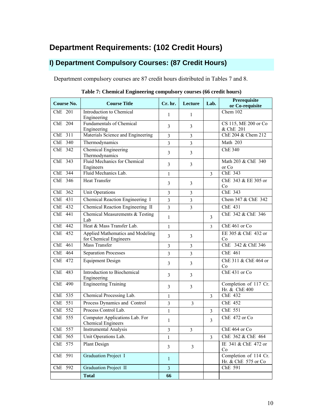# **Department Requirements: (102 Credit Hours)**

### **I) Department Compulsory Courses: (87 Credit Hours)**

Department compulsory courses are 87 credit hours distributed in Tables 7 and 8.

| <b>Course No.</b> | <b>Course Title</b>                                         | Cr. hr.        | Lecture        | Lab.                    | <b>Prerequisite</b><br>or Co-requisite       |
|-------------------|-------------------------------------------------------------|----------------|----------------|-------------------------|----------------------------------------------|
| ChE 201           | Introduction to Chemical<br>Engineering                     | 1              | $\mathbf{1}$   |                         | Chem $102$                                   |
| ChE 204           | <b>Fundamentals of Chemical</b><br>Engineering              | $\overline{3}$ | 3              |                         | CS 115, ME 200 or Co<br>& ChE 201            |
| ChE 311           | Materials Science and Engineering                           | $\overline{3}$ | $\overline{3}$ |                         | ChE 204 & Chem 212                           |
| ChE 340           | Thermodynamics                                              | $\overline{3}$ | $\overline{3}$ |                         | Math 203                                     |
| ChE 342           | <b>Chemical Engineering</b><br>Thermodynamics               | $\overline{3}$ | $\overline{3}$ |                         | <b>ChE 340</b>                               |
| ChE 343           | <b>Fluid Mechanics for Chemical</b><br>Engineers            | $\overline{3}$ | $\overline{3}$ |                         | Math 203 & ChE 340<br>or Co                  |
| ChE 344           | Fluid Mechanics Lab.                                        | 1              |                | 3                       | ChE 343                                      |
| $ChE$ 346         | <b>Heat Transfer</b>                                        | $\overline{3}$ | $\overline{3}$ |                         | ChE 343 & EE 305 or<br>Co                    |
| ChE 362           | <b>Unit Operations</b>                                      | $\overline{3}$ | $\overline{3}$ |                         | ChE 343                                      |
| ChE 431           | Chemical Reaction Engineering I                             | $\overline{3}$ | $\overline{3}$ |                         | Chem 347 & ChE 342                           |
| ChE 432           | Chemical Reaction Engineering II                            | $\overline{3}$ | $\overline{3}$ |                         | ChE 431                                      |
| ChE 441           | Chemical Measurements & Testing<br>Lab                      | $\mathbf{1}$   |                | 3                       | ChE 342 & ChE 346                            |
| ChE 442           | Heat & Mass Transfer Lab.                                   | $\mathbf{1}$   |                | $\overline{3}$          | ChE 461 or Co                                |
| ChE 452           | Applied Mathematics and Modeling<br>for Chemical Engineers  | $\overline{3}$ | 3              |                         | EE 305 & ChE 432 or<br>Co                    |
| ChE 461           | Mass Transfer                                               | 3              | $\overline{3}$ |                         | ChE 342 & ChE 346                            |
| ChE 464           | <b>Separation Processes</b>                                 | $\overline{3}$ | $\overline{3}$ |                         | ChE 461                                      |
| ChE 472           | <b>Equipment Design</b>                                     | $\overline{3}$ | 3              |                         | ChE 311 & ChE 464 or<br>Co                   |
| ChE 483           | Introduction to Biochemical<br>Engineering                  | $\overline{3}$ | 3              |                         | ChE 431 or Co                                |
| ChE 490           | <b>Engineering Training</b>                                 | $\overline{3}$ | 3              |                         | Completion of 117 Cr.<br>Hr. & ChE 400       |
| ChE 535           | Chemical Processing Lab.                                    | $\mathbf{1}$   |                | 3                       | ChE 432                                      |
| ChE 551           | Process Dynamics and Control                                | $\overline{3}$ | 3              |                         | ChE 452                                      |
| ChE 552           | Process Control Lab.                                        | $\mathbf{1}$   |                | 3                       | ChE 551                                      |
| ChE 555           | Computer Applications Lab. For<br><b>Chemical Engineers</b> | $\mathbf{1}$   |                | 3                       | ChE 472 or Co                                |
| ChE 557           | <b>Instrumental Analysis</b>                                | $\mathfrak{Z}$ | 3              |                         | ChE 464 or Co                                |
| ChE 565           | Unit Operations Lab.                                        | $\mathbf{1}$   |                | $\overline{\mathbf{3}}$ | ChE 362 & ChE 464                            |
| ChE 575           | Plant Design                                                | 3              | $\overline{3}$ |                         | IE 341 & ChE 472 or<br>Co                    |
| ChE 591           | <b>Graduation Project I</b>                                 | $\mathbf{1}$   |                |                         | Completion of 114 Cr.<br>Hr. & ChE 575 or Co |
| ChE 592           | <b>Graduation Project II</b>                                | $\overline{3}$ |                |                         | ChE 591                                      |
|                   | <b>Total</b>                                                | 66             |                |                         |                                              |

**Table 7: Chemical Engineering compulsory courses (66 credit hours)**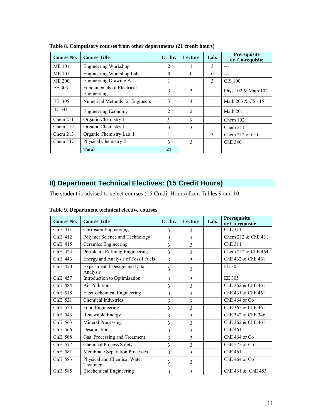| Course No.    | <b>Course Title</b>                              | $Cr.$ hr.      | Lecture        | Lab.         | <b>Prerequisite</b><br>or Co-requisite |
|---------------|--------------------------------------------------|----------------|----------------|--------------|----------------------------------------|
| <b>ME 101</b> | Engineering Workshop                             | 2              |                | 3            | ---                                    |
| <b>ME 101</b> | Engineering Workshop Lab                         | $\Omega$       | $\Omega$       | $\Omega$     | ---                                    |
| <b>ME 200</b> | Engineering Drawing A                            |                |                | $\mathbf{3}$ | <b>CIS 100</b>                         |
| EE 303        | <b>Fundamentals of Electrical</b><br>Engineering | 3              | 3              |              | Phys 102 & Math 102                    |
| EE 305        | Numerical Methods for Engineers                  | 3              | 3              |              | Math 203 & CS 115                      |
| IE 341        | <b>Engineering Economy</b>                       | $\overline{2}$ | $\overline{2}$ |              | Math 201                               |
| Chem 211      | Organic Chemistry I                              | 3              | 3              |              | Chem 102                               |
| Chem 212      | Organic Chemistry II                             | 3              | 3              |              | Chem 211                               |
| Chem 213      | Organic Chemistry Lab. I                         |                |                | 3            | Chem 212 or CO                         |
| Chem 347      | Physical Chemistry II                            | 3              | 3              |              | ChE 340                                |
|               | <b>Total</b>                                     | 21             |                |              |                                        |

**Table 8. Compulsory courses from other departments (21 credit hours)** 

### **II) Department Technical Electives: (15 Credit Hours)**

The student is advised to select courses (15 Credit Hours) from Tables 9 and 10.

| Course No. | <b>Course Title</b>                      | Cr. hr.       | <b>Lecture</b>           | Lab. | Prerequisite<br>or Co-requisite |
|------------|------------------------------------------|---------------|--------------------------|------|---------------------------------|
| ChE 411    | Corrosion Engineering                    | 3             | 3                        |      | ChE 311                         |
| ChE 412    | Polymer Science and Technology           | 3             | $\mathbf{3}$             |      | Chem 212 & ChE 431              |
| ChE 415    | Ceramics Engineering                     | 3             | 3                        |      | ChE 311                         |
| ChE 424    | Petroleum Refining Engineering           | 3             | $\overline{3}$           |      | Chem 212 & ChE 464              |
| ChE 443    | Energy and Analysis of Fossil Fuels      | $\mathcal{E}$ | 3                        |      | ChE 432 & ChE 461               |
| ChE 450    | Experimental Design and Data<br>Analysis | 3             | 3                        |      | EE 305                          |
| ChE 457    | Introduction to Optimization             | $\mathcal{E}$ | $\mathcal{E}$            |      | EE 305                          |
| ChE 484    | Air Pollution                            | 3             | 3                        |      | ChE 362 & ChE 461               |
| ChE 518    | <b>Electrochemical Engineering</b>       | 3             | 3                        |      | ChE 431 & ChE 461               |
| ChE 521    | Chemical Industries                      | 3             | 3                        |      | $ChE$ 464 or $Co$               |
| ChE 524    | Food Engineering                         | 3             | $\mathcal{E}$            |      | ChE 362 & ChE 461               |
| ChE 543    | Renewable Energy                         | 3             | 3                        |      | ChE 342 & ChE 346               |
| ChE 563    | Mineral Processing                       | 3             | 3                        |      | ChE 362 & ChE 461               |
| ChE 566    | Desalination                             | 3             | 3                        |      | Che 461                         |
| ChE 568    | Gas Processing and Treatment             | 3             | $\overline{\mathcal{E}}$ |      | $ChE$ 464 or $Co$               |
| ChE 577    | <b>Chemical Process Safety</b>           | 3             | 3                        |      | ChE 575 or Co                   |
| ChE 581    | Membrane Separation Processes            | 3             | $\mathcal{E}$            |      | ChE 461                         |
| ChE 583    | Physical and Chemical Water<br>Treatment | $\mathcal{E}$ | 3                        |      | $ChE$ 464 or $Co$               |
| ChE 585    | <b>Biochemical Engineering</b>           | 3             | 3                        |      | ChE 461 & ChE 483               |

**Table 9. Department technical elective courses**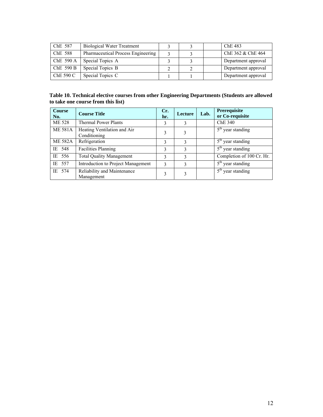| ChE 587   | <b>Biological Water Treatment</b>  |  | ChE 483             |
|-----------|------------------------------------|--|---------------------|
| ChE 588   | Pharmaceutical Process Engineering |  | ChE 362 & ChE 464   |
| ChE 590 A | Special Topics A                   |  | Department approval |
| ChE 590 B | Special Topics B                   |  | Department approval |
| ChE 590 C | Special Topics C                   |  | Department approval |

#### **Table 10. Technical elective courses from other Engineering Departments (Students are allowed to take one course from this list)**

| <b>Course</b><br>No. | <b>Course Title</b>                         | Cr.<br>hr. | Lecture | Lab. | Prerequisite<br>or Co-requisite   |
|----------------------|---------------------------------------------|------------|---------|------|-----------------------------------|
| <b>ME 528</b>        | <b>Thermal Power Plants</b>                 | 3          | 3       |      | ChE 340                           |
| <b>ME 581A</b>       | Heating Ventilation and Air<br>Conditioning | 3          | 3       |      | $5th$ year standing               |
| <b>ME 582A</b>       | Refrigeration                               | 3          | 3       |      | $5th$ year standing               |
| IE 548               | <b>Facilities Planning</b>                  | 3          | 3       |      | $5th$ year standing               |
| IE 556               | <b>Total Quality Management</b>             | 3          | 3       |      | Completion of 100 Cr. Hr.         |
| IE 557               | Introduction to Project Management          | 3          | 3       |      | $5th$ year standing               |
| IE 574               | Reliability and Maintenance<br>Management   | 3          | 3       |      | $\overline{5^{th}}$ year standing |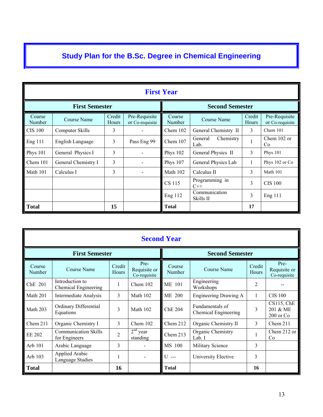# **Study Plan for the B.Sc. Degree in Chemical Engineering**

|                  | <b>First Year</b>     |                 |                                  |                        |                              |                 |                                  |
|------------------|-----------------------|-----------------|----------------------------------|------------------------|------------------------------|-----------------|----------------------------------|
|                  | <b>First Semester</b> |                 |                                  | <b>Second Semester</b> |                              |                 |                                  |
| Course<br>Number | Course Name           | Credit<br>Hours | Pre-Requisite<br>or Co-requisite | Course<br>Number       | Course Name                  | Credit<br>Hours | Pre-Requisite<br>or Co-requisite |
| <b>CIS 100</b>   | Computer Skills       | 3               | Ξ.                               | Chem 102               | General Chemistry II         | 3               | Chem 101                         |
| Eng 111          | English Language      | 3               | Pass Eng 99                      | Chem 107               | General<br>Chemistry<br>Lab. | 1               | Chem $102$ or<br>Co              |
| <b>Phys 101</b>  | General Physics I     | 3               |                                  | Phys 102               | General Physics II           | 3               | Phys $101$                       |
| Chem 101         | General Chemistry I   | 3               | $\qquad \qquad \blacksquare$     | <b>Phys 107</b>        | General Physics Lab          | 1               | Phys 102 or Co                   |
| Math 101         | Calculus I            | 3               | -                                | Math 102               | Calculus II                  | 3               | Math 101                         |
|                  |                       |                 |                                  | CS 115                 | Programming in<br>$C++$      | 3               | <b>CIS 100</b>                   |
|                  |                       |                 |                                  | Eng 112                | Communication<br>Skills II   | 3               | <b>Eng 111</b>                   |
| <b>Total</b>     |                       | 15              |                                  | <b>Total</b>           |                              | 17              |                                  |

|                       | <b>Second Year</b>                           |                 |                                      |                  |                                         |                        |                                            |
|-----------------------|----------------------------------------------|-----------------|--------------------------------------|------------------|-----------------------------------------|------------------------|--------------------------------------------|
| <b>First Semester</b> |                                              |                 |                                      |                  | <b>Second Semester</b>                  |                        |                                            |
| Course<br>Number      | <b>Course Name</b>                           | Credit<br>Hours | Pre-<br>Requisite or<br>Co-requisite | Course<br>Number | <b>Course Name</b>                      | Credit<br><b>Hours</b> | Pre-<br>Requisite or<br>Co-requisite       |
| ChE 201               | Introduction to<br>Chemical Engineering      | 1               | Chem $102$                           | <b>ME 101</b>    | Engineering<br>Workshops                | $\overline{2}$         |                                            |
| Math 201              | <b>Intermediate Analysis</b>                 | 3               | Math 102                             | ME 200           | Engineering Drawing A                   |                        | <b>CIS 100</b>                             |
| Math 203              | Ordinary Differential<br>Equations           | 3               | Math 102                             | <b>ChE 204</b>   | Fundamentals of<br>Chemical Engineering | 3                      | $CS115$ , ChE<br>201 & ME<br>$200$ or $Co$ |
| Chem $211$            | Organic Chemistry I                          | 3               | Chem $102$                           | Chem 212         | Organic Chemistry II                    | 3                      | Chem $211$                                 |
| EE 202                | <b>Communication Skills</b><br>for Engineers | $\overline{2}$  | $2nd$ year<br>standing               | Chem 213         | Organic Chemistry<br>Lab. I             |                        | Chem 212 or<br>Co                          |
| Arb 101               | Arabic Language                              | 3               |                                      | MS 100           | Military Science                        | 3                      |                                            |
| Arb 103               | <b>Applied Arabic</b><br>Language Studies    |                 |                                      | U ---            | University Elective                     | 3                      |                                            |
| <b>Total</b>          |                                              | 16              |                                      | <b>Total</b>     |                                         | 16                     |                                            |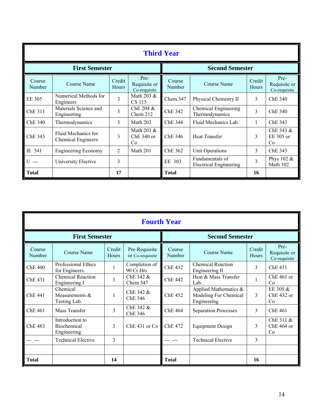|                  | <b>Third Year</b>                                |                 |                                      |                        |                                                  |                 |                                      |
|------------------|--------------------------------------------------|-----------------|--------------------------------------|------------------------|--------------------------------------------------|-----------------|--------------------------------------|
|                  | <b>First Semester</b>                            |                 |                                      | <b>Second Semester</b> |                                                  |                 |                                      |
| Course<br>Number | Course Name                                      | Credit<br>Hours | Pre-<br>Requisite or<br>Co-requisite | Course<br>Number       | Course Name                                      | Credit<br>Hours | Pre-<br>Requisite or<br>Co-requisite |
| EE 305           | Numerical Methods for<br>Engineers               | 3               | Math 203 $&$<br>CS 115               | Chem 347               | Physical Chemistry II                            | 3               | Che 340                              |
| ChE 311          | Materials Science and<br>Engineering             | 3               | Che 204 &<br>Chem 212                | <b>ChE 342</b>         | Chemical Engineering<br>Thermodynamics           | 3               | ChE 340                              |
| ChE 340          | Thermodynamics                                   | 3               | Math 203                             | ChE 344                | Fluid Mechanics Lab.                             |                 | ChE 343                              |
| ChE 343          | Fluid Mechanics for<br><b>Chemical Engineers</b> | 3               | Math 203 $&$<br>ChE 340 or<br>Co     | ChE 346                | <b>Heat Transfer</b>                             | 3               | ChE 343 $&$<br>EE 305 or<br>Co       |
| IE 341           | <b>Engineering Economy</b>                       | $\overline{c}$  | Math 201                             | ChE 362                | Unit Operations                                  | 3               | ChE 343                              |
| U ---            | University Elective                              | 3               |                                      | EE 303                 | Fundamentals of<br><b>Electrical Engineering</b> | 3               | Phys 102 &<br>Math 102               |
| <b>Total</b>     |                                                  | 17              |                                      | <b>Total</b>           |                                                  | 16              |                                      |

|                       | <b>Fourth Year</b>                            |                 |                                  |                        |                                                               |                        |                                      |
|-----------------------|-----------------------------------------------|-----------------|----------------------------------|------------------------|---------------------------------------------------------------|------------------------|--------------------------------------|
| <b>First Semester</b> |                                               |                 |                                  | <b>Second Semester</b> |                                                               |                        |                                      |
| Course<br>Number      | <b>Course Name</b>                            | Credit<br>Hours | Pre-Requisite<br>or Co-requisite | Course<br>Number       | <b>Course Name</b>                                            | Credit<br><b>Hours</b> | Pre-<br>Requisite or<br>Co-requisite |
| <b>ChE 400</b>        | <b>Professional Ethics</b><br>for Engineers   |                 | Completion of<br>90 Cr Hrs       | <b>ChE 432</b>         | <b>Chemical Reaction</b><br>Engineering II                    | 3                      | Che 431                              |
| ChE 431               | <b>Chemical Reaction</b><br>Engineering I     | 3               | ChE 342 &<br>Chem 347            | <b>ChE 442</b>         | Heat & Mass Transfer<br>Lab.                                  |                        | $Che 461$ or<br>Co                   |
| ChE 441               | Chemical<br>Measurements &<br>Testing Lab.    |                 | ChE $342 \&$<br>ChE 346          | <b>ChE 452</b>         | Applied Mathematics &<br>Modeling For Chemical<br>Engineering | 3                      | EE 305 &<br>$Che 432$ or<br>Co       |
| ChE 461               | Mass Transfer                                 | 3               | ChE 342 &<br>ChE 346             | <b>ChE 464</b>         | <b>Separation Processes</b>                                   | 3                      | ChE 461                              |
| ChE 483               | Introduction to<br>Biochemical<br>Engineering | 3               | ChE 431 or Co                    | <b>ChE 472</b>         | <b>Equipment Design</b>                                       | 3                      | ChE 311 &<br>ChE 464 or<br>Co        |
|                       | <b>Technical Elective</b>                     | 3               |                                  |                        | <b>Technical Elective</b>                                     | 3                      |                                      |
|                       |                                               |                 |                                  |                        |                                                               |                        |                                      |
| <b>Total</b>          |                                               | 14              |                                  | <b>Total</b>           |                                                               | 16                     |                                      |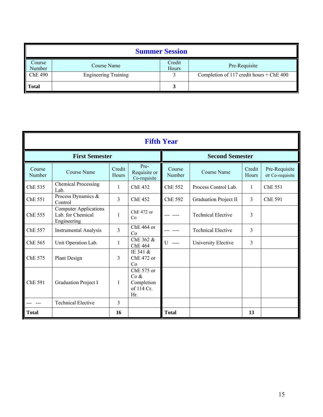| <b>Summer Session</b> |                             |                 |                                          |  |  |  |
|-----------------------|-----------------------------|-----------------|------------------------------------------|--|--|--|
| Course<br>Number      | Course Name                 | Credit<br>Hours | Pre-Requisite                            |  |  |  |
| <b>ChE 490</b>        | <b>Engineering Training</b> |                 | Completion of 117 credit hours + ChE 400 |  |  |  |
| <b>Total</b>          |                             |                 |                                          |  |  |  |

| <b>Fifth Year</b>     |                                                                  |                 |                                                       |                        |                              |                 |                                  |
|-----------------------|------------------------------------------------------------------|-----------------|-------------------------------------------------------|------------------------|------------------------------|-----------------|----------------------------------|
| <b>First Semester</b> |                                                                  |                 |                                                       | <b>Second Semester</b> |                              |                 |                                  |
| Course<br>Number      | <b>Course Name</b>                                               | Credit<br>Hours | Pre-<br>Requisite or<br>Co-requisite                  | Course<br>Number       | <b>Course Name</b>           | Credit<br>Hours | Pre-Requisite<br>or Co-requisite |
| ChE 535               | <b>Chemical Processing</b><br>Lab.                               | $\mathbf{1}$    | ChE 432                                               | ChE 552                | Process Control Lab.         | $\mathbf{1}$    | ChE 551                          |
| ChE 551               | Process Dynamics &<br>Control                                    | 3               | ChE 452                                               | <b>ChE 592</b>         | <b>Graduation Project II</b> | 3               | ChE 591                          |
| ChE 555               | <b>Computer Applications</b><br>Lab. for Chemical<br>Engineering | 1               | ChE 472 or<br>Co                                      |                        | <b>Technical Elective</b>    | 3               |                                  |
| ChE 557               | <b>Instrumental Analysis</b>                                     | 3               | $Che 464$ or<br>Co                                    |                        | <b>Technical Elective</b>    | 3               |                                  |
| ChE 565               | Unit Operation Lab.                                              | $\mathbf{1}$    | ChE 362 &<br><b>ChE 464</b>                           | $U = -$                | University Elective          | 3               |                                  |
| ChE 575               | Plant Design                                                     | 3               | IE 341 &<br>ChE 472 or<br>Co                          |                        |                              |                 |                                  |
| ChE 591               | <b>Graduation Project I</b>                                      | 1               | ChE 575 or<br>Co &<br>Completion<br>of 114 Cr.<br>Hr. |                        |                              |                 |                                  |
|                       | <b>Technical Elective</b>                                        | 3               |                                                       |                        |                              |                 |                                  |
| <b>Total</b>          |                                                                  | 16              |                                                       | <b>Total</b>           |                              | 13              |                                  |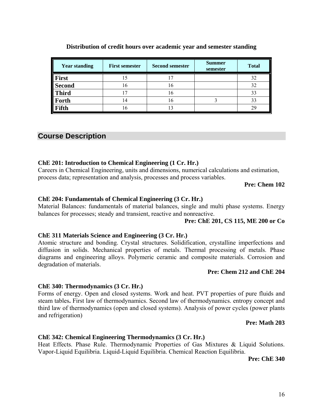16

# **Distribution of credit hours over academic year and semester standing**

#### **First** 15 17 17 32 **Second** 16 16 16 32 **Third** 17 16 16 33 **Forth** 14 16 16 3 33 **Fifth** 16 13 13 29

**Year standing First semester Second semester Summer** 

#### **Course Description**

#### **ChE 201: Introduction to Chemical Engineering (1 Cr. Hr.)**

Careers in Chemical Engineering, units and dimensions, numerical calculations and estimation, process data; representation and analysis, processes and process variables.

#### **Pre: Chem 102**

#### **ChE 204: Fundamentals of Chemical Engineering (3 Cr. Hr.)**

Material Balances: fundamentals of material balances, single and multi phase systems. Energy balances for processes; steady and transient, reactive and nonreactive.

#### **Pre: ChE 201, CS 115, ME 200 or Co**

**semester Total** 

#### **ChE 311 Materials Science and Engineering (3 Cr. Hr.)**

Atomic structure and bonding. Crystal structures. Solidification, crystalline imperfections and diffusion in solids. Mechanical properties of metals. Thermal processing of metals. Phase diagrams and engineering alloys. Polymeric ceramic and composite materials. Corrosion and degradation of materials.

#### **Pre: Chem 212 and ChE 204**

#### **ChE 340: Thermodynamics (3 Cr. Hr.)**

Forms of energy. Open and closed systems. Work and heat. PVT properties of pure fluids and steam tables**.** First law of thermodynamics. Second law of thermodynamics. entropy concept and third law of thermodynamics (open and closed systems). Analysis of power cycles (power plants and refrigeration)

#### **Pre: Math 203**

#### **ChE 342: Chemical Engineering Thermodynamics (3 Cr. Hr.)**

Heat Effects. Phase Rule. Thermodynamic Properties of Gas Mixtures & Liquid Solutions. Vapor-Liquid Equilibria. Liquid-Liquid Equilibria. Chemical Reaction Equilibria.

**Pre: ChE 340**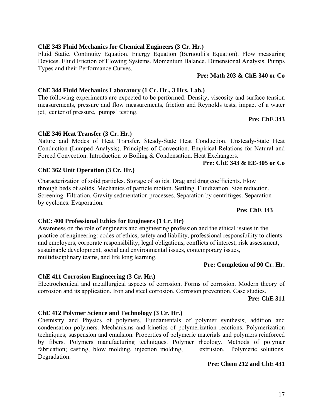#### **ChE 343 Fluid Mechanics for Chemical Engineers (3 Cr. Hr.)**

Fluid Static. Continuity Equation. Energy Equation (Bernoulli's Equation). Flow measuring Devices. Fluid Friction of Flowing Systems. Momentum Balance. Dimensional Analysis. Pumps Types and their Performance Curves.

#### **Pre: Math 203 & ChE 340 or Co**

#### **ChE 344 Fluid Mechanics Laboratory (1 Cr. Hr., 3 Hrs. Lab.)**

The following experiments are expected to be performed: Density, viscosity and surface tension measurements, pressure and flow measurements, friction and Reynolds tests, impact of a water jet, center of pressure, pumps' testing.

# **Pre: ChE 343**

# **ChE 346 Heat Transfer (3 Cr. Hr.)**

Nature and Modes of Heat Transfer. Steady-State Heat Conduction. Unsteady-State Heat Conduction (Lumped Analysis). Principles of Convection. Empirical Relations for Natural and Forced Convection. Introduction to Boiling & Condensation. Heat Exchangers.

#### **Pre: ChE 343 & EE-305 or Co**

#### **ChE 362 Unit Operation (3 Cr. Hr.)**

Characterization of solid particles. Storage of solids. Drag and drag coefficients. Flow through beds of solids. Mechanics of particle motion. Settling. Fluidization. Size reduction. Screening. Filtration. Gravity sedmentation processes. Separation by centrifuges. Separation by cyclones. Evaporation.

#### **Pre: ChE 343**

#### **ChE: 400 Professional Ethics for Engineers (1 Cr. Hr)**

Awareness on the role of engineers and engineering profession and the ethical issues in the practice of engineering: codes of ethics, safety and liability, professional responsibility to clients and employers, corporate responsibility, legal obligations, conflicts of interest, risk assessment, sustainable development, social and environmental issues, contemporary issues, multidisciplinary teams, and life long learning.

#### **Pre: Completion of 90 Cr. Hr.**

#### **ChE 411 Corrosion Engineering (3 Cr. Hr.)**

Electrochemical and metallurgical aspects of corrosion. Forms of corrosion. Modern theory of corrosion and its application. Iron and steel corrosion. Corrosion prevention. Case studies.

 **Pre: ChE 311** 

#### **ChE 412 Polymer Science and Technology (3 Cr. Hr.)**

Chemistry and Physics of polymers. Fundamentals of polymer synthesis; addition and condensation polymers. Mechanisms and kinetics of polymerization reactions. Polymerization techniques; suspension and emulsion. Properties of polymeric materials and polymers reinforced by fibers. Polymers manufacturing techniques. Polymer rheology. Methods of polymer fabrication; casting, blow molding, injection molding, extrusion. Polymeric solutions. Degradation.

#### **Pre: Chem 212 and ChE 431**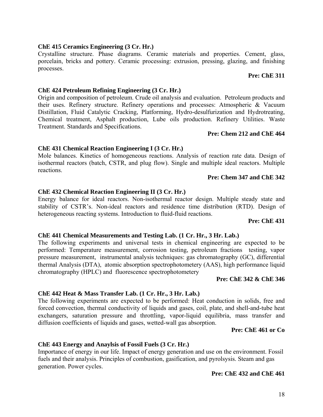#### **ChE 415 Ceramics Engineering (3 Cr. Hr.)**

Crystalline structure. Phase diagrams. Ceramic materials and properties. Cement, glass, porcelain, bricks and pottery. Ceramic processing: extrusion, pressing, glazing, and finishing processes.

# **Pre: ChE 311**

#### **ChE 424 Petroleum Refining Engineering (3 Cr. Hr.)**

Origin and composition of petroleum. Crude oil analysis and evaluation. Petroleum products and their uses. Refinery structure. Refinery operations and processes: Atmospheric & Vacuum Distillation, Fluid Catalytic Cracking, Platforming, Hydro-desulfurization and Hydrotreating, Chemical treatment, Asphalt production, Lube oils production. Refinery Utilities. Waste Treatment. Standards and Specifications.

#### **Pre: Chem 212 and ChE 464**

#### **ChE 431 Chemical Reaction Engineering I (3 Cr. Hr.)**

Mole balances. Kinetics of homogeneous reactions. Analysis of reaction rate data. Design of isothermal reactors (batch, CSTR, and plug flow). Single and multiple ideal reactors. Multiple reactions.

#### **Pre: Chem 347 and ChE 342**

#### **ChE 432 Chemical Reaction Engineering II (3 Cr. Hr.)**

Energy balance for ideal reactors. Non-isothermal reactor design. Multiple steady state and stability of CSTR's. Non-ideal reactors and residence time distribution (RTD). Design of heterogeneous reacting systems. Introduction to fluid-fluid reactions.

#### **Pre: ChE 431**

#### **ChE 441 Chemical Measurements and Testing Lab. (1 Cr. Hr., 3 Hr. Lab.)**

The following experiments and universal tests in chemical engineering are expected to be performed: Temperature measurement, corrosion testing, petroleum fractions testing, vapor pressure measurement, instrumental analysis techniques: gas chromatography (GC), differential thermal Analysis (DTA), atomic absorption spectrophotometery (AAS), high performance liquid chromatography (HPLC) and fluorescence spectrophotometery

#### **Pre: ChE 342 & ChE 346**

#### **ChE 442 Heat & Mass Transfer Lab. (1 Cr. Hr., 3 Hr. Lab.)**

The following experiments are expected to be performed: Heat conduction in solids, free and forced convection, thermal conductivity of liquids and gases, coil, plate, and shell-and-tube heat exchangers, saturation pressure and throttling, vapor-liquid equilibria, mass transfer and diffusion coefficients of liquids and gases, wetted-wall gas absorption.

#### **Pre: ChE 461 or Co**

#### **ChE 443 Energy and Anaylsis of Fossil Fuels (3 Cr. Hr.)**

Importance of energy in our life. Impact of energy generation and use on the environment. Fossil fuels and their analysis. Principles of combustion, gasification, and pyrolsysis. Steam and gas generation. Power cycles.

#### **Pre: ChE 432 and ChE 461**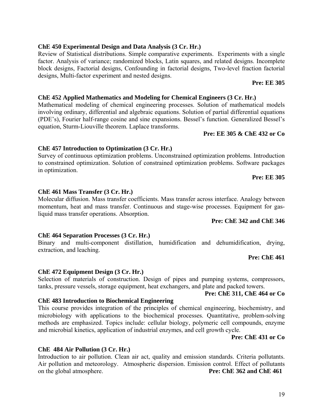#### **ChE 450 Experimental Design and Data Analysis (3 Cr. Hr.)**

Review of Statistical distributions. Simple comparative experiments. Experiments with a single factor. Analysis of variance; randomized blocks, Latin squares, and related designs. Incomplete block designs, Factorial designs, Confounding in factorial designs, Two-level fraction factorial designs, Multi-factor experiment and nested designs.

# **ChE 452 Applied Mathematics and Modeling for Chemical Engineers (3 Cr. Hr.)**

Mathematical modeling of chemical engineering processes. Solution of mathematical models involving ordinary, differential and algebraic equations. Solution of partial differential equations (PDE's), Fourier half-range cosine and sine expansions. Bessel's function. Generalized Bessel's equation, Sturm-Liouville theorem. Laplace transforms.

#### **Pre: EE 305 & ChE 432 or Co**

#### **ChE 457 Introduction to Optimization (3 Cr. Hr.)**

Survey of continuous optimization problems. Unconstrained optimization problems. Introduction to constrained optimization. Solution of constrained optimization problems. Software packages in optimization.

#### **ChE 461 Mass Transfer (3 Cr. Hr.)**

Molecular diffusion. Mass transfer coefficients. Mass transfer across interface. Analogy between momentum, heat and mass transfer. Continuous and stage-wise processes. Equipment for gasliquid mass transfer operations. Absorption.

#### **Pre: ChE 342 and ChE 346**

#### **ChE 464 Separation Processes (3 Cr. Hr.)**

Binary and multi-component distillation, humidification and dehumidification, drying, extraction, and leaching.

#### **Pre: ChE 461**

#### **ChE 472 Equipment Design (3 Cr. Hr.)**

Selection of materials of construction. Design of pipes and pumping systems, compressors, tanks, pressure vessels, storage equipment, heat exchangers, and plate and packed towers.

#### **Pre: ChE 311, ChE 464 or Co**

#### **ChE 483 Introduction to Biochemical Engineering**

This course provides integration of the principles of chemical engineering, biochemistry, and microbiology with applications to the biochemical processes. Quantitative, problem-solving methods are emphasized. Topics include: cellular biology, polymeric cell compounds, enzyme and microbial kinetics, application of industrial enzymes, and cell growth cycle.

#### **Pre: ChE 431 or Co**

#### **ChE 484 Air Pollution (3 Cr. Hr.)**

Introduction to air pollution. Clean air act, quality and emission standards. Criteria pollutants. Air pollution and meteorology. Atmospheric dispersion. Emission control. Effect of pollutants on the global atmosphere. **Pre: ChE 362 and ChE 461** 

 **Pre: EE 305**

 **Pre: EE 305**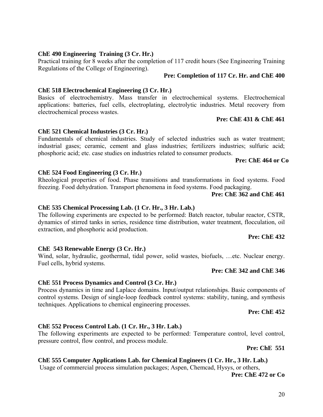#### **ChE 490 Engineering Training (3 Cr. Hr.)**

Practical training for 8 weeks after the completion of 117 credit hours (See Engineering Training Regulations of the College of Engineering).

#### **Pre: Completion of 117 Cr. Hr. and ChE 400**

#### **ChE 518 Electrochemical Engineering (3 Cr. Hr.)**

Basics of electrochemistry. Mass transfer in electrochemical systems. Electrochemical applications: batteries, fuel cells, electroplating, electrolytic industries. Metal recovery from electrochemical process wastes.

#### **Pre: ChE 431 & ChE 461**

#### **ChE 521 Chemical Industries (3 Cr. Hr.)**

Fundamentals of chemical industries. Study of selected industries such as water treatment; industrial gases; ceramic, cement and glass industries; fertilizers industries; sulfuric acid; phosphoric acid; etc. case studies on industries related to consumer products.

#### **Pre: ChE 464 or Co**

#### **ChE 524 Food Engineering (3 Cr. Hr.)**

Rheological properties of food. Phase transitions and transformations in food systems. Food freezing. Food dehydration. Transport phenomena in food systems. Food packaging.

#### **Pre: ChE 362 and ChE 461**

#### **ChE 535 Chemical Processing Lab. (1 Cr. Hr., 3 Hr. Lab.)**

The following experiments are expected to be performed: Batch reactor, tubular reactor, CSTR, dynamics of stirred tanks in series, residence time distribution, water treatment, flocculation, oil extraction, and phosphoric acid production.

#### **Pre: ChE 432**

#### **ChE 543 Renewable Energy (3 Cr. Hr.)**

Wind, solar, hydraulic, geothermal, tidal power, solid wastes, biofuels, …etc. Nuclear energy. Fuel cells, hybrid systems.

#### **Pre: ChE 342 and ChE 346**

#### **ChE 551 Process Dynamics and Control (3 Cr. Hr.)**

Process dynamics in time and Laplace domains. Input/output relationships. Basic components of control systems. Design of single-loop feedback control systems: stability, tuning, and synthesis techniques. Applications to chemical engineering processes.

#### **Pre: ChE 452**

#### **ChE 552 Process Control Lab. (1 Cr. Hr., 3 Hr. Lab.)**

The following experiments are expected to be performed: Temperature control, level control, pressure control, flow control, and process module.

**Pre: ChE 551** 

#### **ChE 555 Computer Applications Lab. for Chemical Engineers (1 Cr. Hr., 3 Hr. Lab.)**

Usage of commercial process simulation packages; Aspen, Chemcad, Hysys, or others,

**Pre: ChE 472 or Co**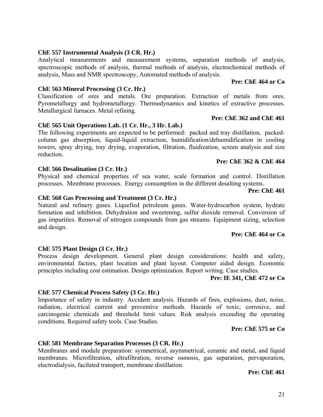#### **ChE 557 Instrumental Analysis (3 CR. Hr.)**

Analytical measurements and measurement systems, separation methods of analysis, spectroscopic methods of analysis, thermal methods of analysis, electrochemical methods of analysis, Mass and NMR spectroscopy, Automated methods of analysis.

#### **ChE 563 Mineral Processing (3 Cr. Hr.)**

Classification of ores and metals. Ore preparation. Extraction of metals from ores. Pyrometallurgy and hydrometallurgy. Thermodynamics and kinetics of extractive processes. Metallurgical furnaces. Metal refining.

# **ChE 565 Unit Operations Lab. (1 Cr. Hr., 3 Hr. Lab.)**

The following experiments are expected to be performed: packed and tray distillation, packedcolumn gas absorption, liquid-liquid extraction, humidification/dehumidification in cooling towers, spray drying, tray drying, evaporation, filtration, fluidization, screen analysis and size reduction.

#### **Pre: ChE 362 & ChE 464**

#### **ChE 566 Desalination (3 Cr. Hr.)**

Physical and chemical properties of sea water, scale formation and control. Distillation processes. Membrane processes. Energy consumption in the different desalting systems.

#### **ChE 568 Gas Processing and Treatment (3 Cr. Hr.)**

Natural and refinery gases. Liquefied petroleum gases. Water-hydrocarbon system, hydrate formation and inhibition. Dehydration and sweetening, sulfur dioxide removal. Conversion of gas impurities. Removal of nitrogen compounds from gas streams. Equipment sizing, selection and design.

#### **Pre: ChE 464 or Co**

 **Pre: ChE 461**

#### **ChE 575 Plant Design (3 Cr. Hr.)**

Process design development. General plant design considerations: health and safety, environmental factors, plant location and plant layout. Computer aided design. Economic principles including cost estimation. Design optimization. Report writing. Case studies.

#### **Pre: IE 341, ChE 472 or Co**

#### **ChE 577 Chemical Process Safety (3 Cr. Hr.)**

Importance of safety in industry. Accident analysis. Hazards of fires, explosions, dust, noise, radiation, electrical current and preventive methods. Hazards of toxic, corrosive, and carcinogenic chemicals and threshold limit values. Risk analysis exceeding the operating conditions. Required safety tools. Case Studies.

#### **Pre: ChE 575 or Co**

#### **ChE 581 Membrane Separation Processes (3 CR. Hr.)**

Membranes and module preparation: symmetrical, asymmetrical, ceramic and metal, and liquid membranes. Microfiltration, ultrafiltration, reverse osmosis, gas separation, pervaporation, electrodialysis, facilated transport, membrane distillation.

**Pre: ChE 461** 

# **Pre: ChE 362 and ChE 461**

**Pre: ChE 464 or Co**